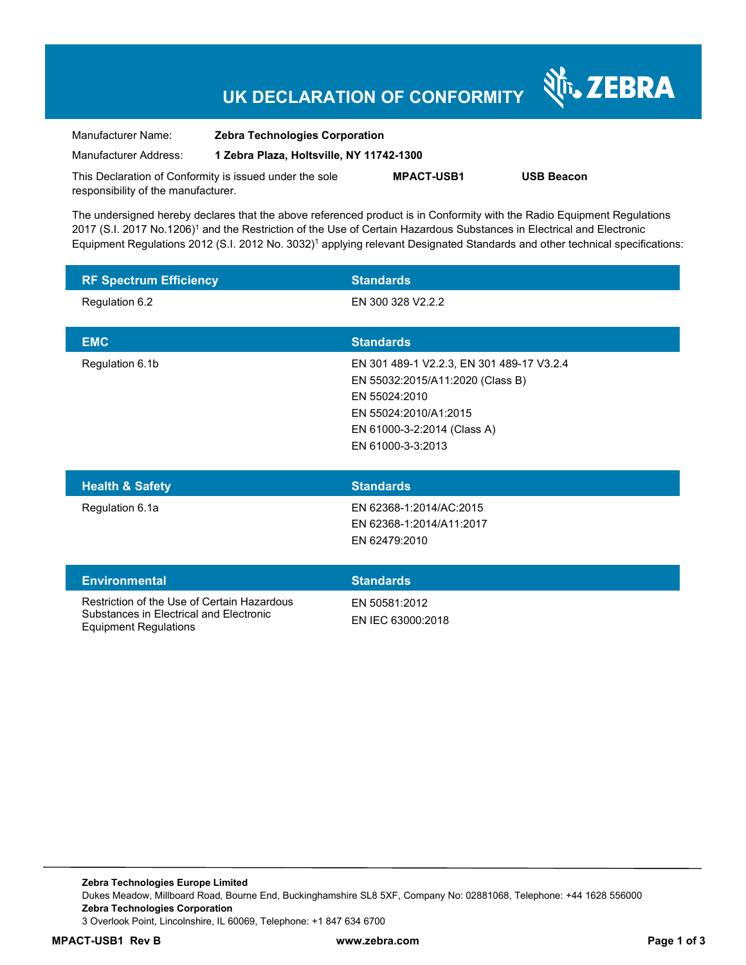## **UK DECLARATION OF CONFORMITY**

Nr. ZEBRA

| Manufacturer Name:                                      | <b>Zebra Technologies Corporation</b>    |                   |                   |
|---------------------------------------------------------|------------------------------------------|-------------------|-------------------|
| Manufacturer Address:                                   | 1 Zebra Plaza, Holtsville, NY 11742-1300 |                   |                   |
| This Declaration of Conformity is issued under the sole |                                          | <b>MPACT-USB1</b> | <b>USB Beacon</b> |

The undersigned hereby declares that the above referenced product is in Conformity with the Radio Equipment Regulations 2017 (S.I. 2017 No.1206)<sup>1</sup> and the Restriction of the Use of Certain Hazardous Substances in Electrical and Electronic Equipment Regulations 2012 (S.I. 2012 No. 3032)<sup>1</sup> applying relevant Designated Standards and other technical specifications:

| <b>RF Spectrum Efficiency</b>                                                                                          | <b>Standards</b>                                                                                                                                                            |
|------------------------------------------------------------------------------------------------------------------------|-----------------------------------------------------------------------------------------------------------------------------------------------------------------------------|
| Regulation 6.2                                                                                                         | EN 300 328 V2.2.2                                                                                                                                                           |
| <b>EMC</b>                                                                                                             | <b>Standards</b>                                                                                                                                                            |
| Regulation 6.1b                                                                                                        | EN 301 489-1 V2.2.3, EN 301 489-17 V3.2.4<br>EN 55032:2015/A11:2020 (Class B)<br>EN 55024:2010<br>EN 55024:2010/A1:2015<br>EN 61000-3-2:2014 (Class A)<br>EN 61000-3-3:2013 |
| <b>Health &amp; Safety</b>                                                                                             | <b>Standards</b>                                                                                                                                                            |
| Regulation 6.1a                                                                                                        | EN 62368-1:2014/AC:2015<br>EN 62368-1:2014/A11:2017<br>EN 62479:2010                                                                                                        |
| <b>Environmental</b>                                                                                                   | <b>Standards</b>                                                                                                                                                            |
| Restriction of the Use of Certain Hazardous<br>Substances in Electrical and Electronic<br><b>Equipment Regulations</b> | EN 50581:2012<br>EN IEC 63000:2018                                                                                                                                          |

responsibility of the manufacturer.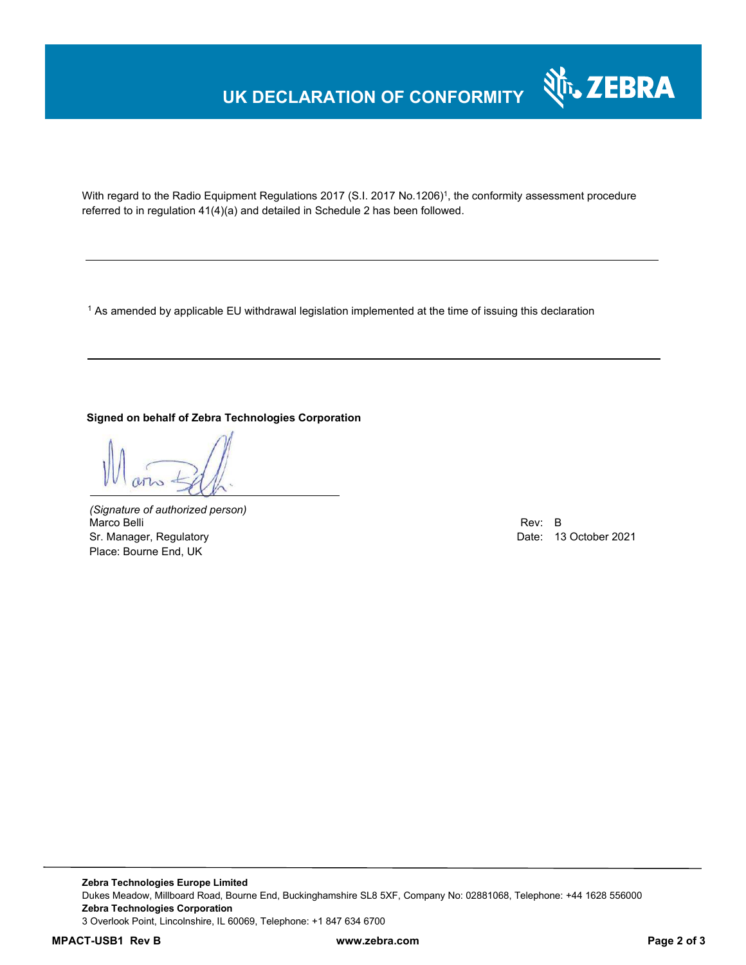## **UK DECLARATION OF CONFORMITY**



With regard to the Radio Equipment Regulations 2017 (S.I. 2017 No.1206)<sup>1</sup>, the conformity assessment procedure referred to in regulation 41(4)(a) and detailed in Schedule 2 has been followed.

1 As amended by applicable EU withdrawal legislation implemented at the time of issuing this declaration

#### **Signed on behalf of Zebra Technologies Corporation**

*(Signature of authorized person)* Marco Belli Rev: B Sr. Manager, Regulatory Date: 13 October 2021 Place: Bourne End, UK